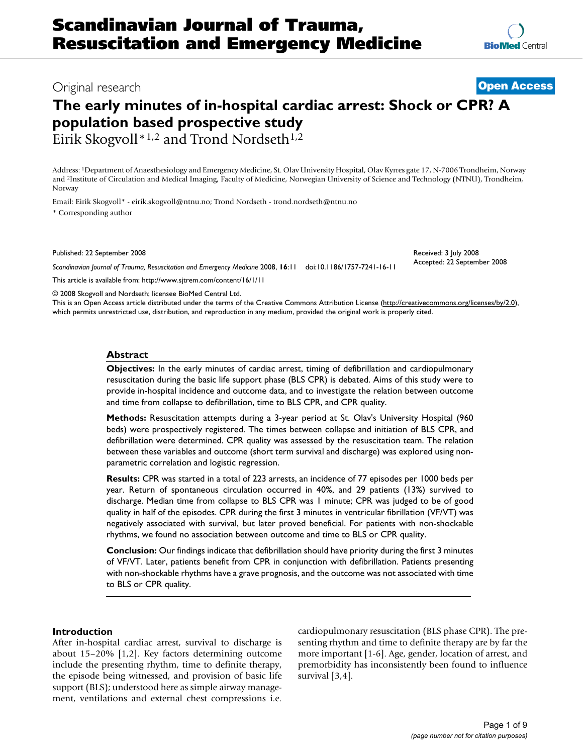# **The early minutes of in-hospital cardiac arrest: Shock or CPR? A population based prospective study**

Eirik Skogvoll\*<sup>1,2</sup> and Trond Nordseth<sup>1,2</sup>

Original research **[Open Access](http://www.biomedcentral.com/info/about/charter/)**

Received: 3 July 2008 Accepted: 22 September 2008

**[BioMed](http://www.biomedcentral.com/)** Central

Address: 1Department of Anaesthesiology and Emergency Medicine, St. Olav University Hospital, Olav Kyrres gate 17, N-7006 Trondheim, Norway and 2Institute of Circulation and Medical Imaging, Faculty of Medicine, Norwegian University of Science and Technology (NTNU), Trondheim, Norway

Email: Eirik Skogvoll\* - eirik.skogvoll@ntnu.no; Trond Nordseth - trond.nordseth@ntnu.no \* Corresponding author

Published: 22 September 2008

*Scandinavian Journal of Trauma, Resuscitation and Emergency Medicine* 2008, **16**:11 doi:10.1186/1757-7241-16-11

[This article is available from: http://www.sjtrem.com/content/16/1/11](http://www.sjtrem.com/content/16/1/11)

© 2008 Skogvoll and Nordseth; licensee BioMed Central Ltd.

This is an Open Access article distributed under the terms of the Creative Commons Attribution License [\(http://creativecommons.org/licenses/by/2.0\)](http://creativecommons.org/licenses/by/2.0), which permits unrestricted use, distribution, and reproduction in any medium, provided the original work is properly cited.

### **Abstract**

**Objectives:** In the early minutes of cardiac arrest, timing of defibrillation and cardiopulmonary resuscitation during the basic life support phase (BLS CPR) is debated. Aims of this study were to provide in-hospital incidence and outcome data, and to investigate the relation between outcome and time from collapse to defibrillation, time to BLS CPR, and CPR quality.

**Methods:** Resuscitation attempts during a 3-year period at St. Olav's University Hospital (960 beds) were prospectively registered. The times between collapse and initiation of BLS CPR, and defibrillation were determined. CPR quality was assessed by the resuscitation team. The relation between these variables and outcome (short term survival and discharge) was explored using nonparametric correlation and logistic regression.

**Results:** CPR was started in a total of 223 arrests, an incidence of 77 episodes per 1000 beds per year. Return of spontaneous circulation occurred in 40%, and 29 patients (13%) survived to discharge. Median time from collapse to BLS CPR was 1 minute; CPR was judged to be of good quality in half of the episodes. CPR during the first 3 minutes in ventricular fibrillation (VF/VT) was negatively associated with survival, but later proved beneficial. For patients with non-shockable rhythms, we found no association between outcome and time to BLS or CPR quality.

**Conclusion:** Our findings indicate that defibrillation should have priority during the first 3 minutes of VF/VT. Later, patients benefit from CPR in conjunction with defibrillation. Patients presenting with non-shockable rhythms have a grave prognosis, and the outcome was not associated with time to BLS or CPR quality.

#### **Introduction**

After in-hospital cardiac arrest, survival to discharge is about 15–20% [1,2]. Key factors determining outcome include the presenting rhythm, time to definite therapy, the episode being witnessed, and provision of basic life support (BLS); understood here as simple airway management, ventilations and external chest compressions i.e.

cardiopulmonary resuscitation (BLS phase CPR). The presenting rhythm and time to definite therapy are by far the more important [1-6]. Age, gender, location of arrest, and premorbidity has inconsistently been found to influence survival [3,4].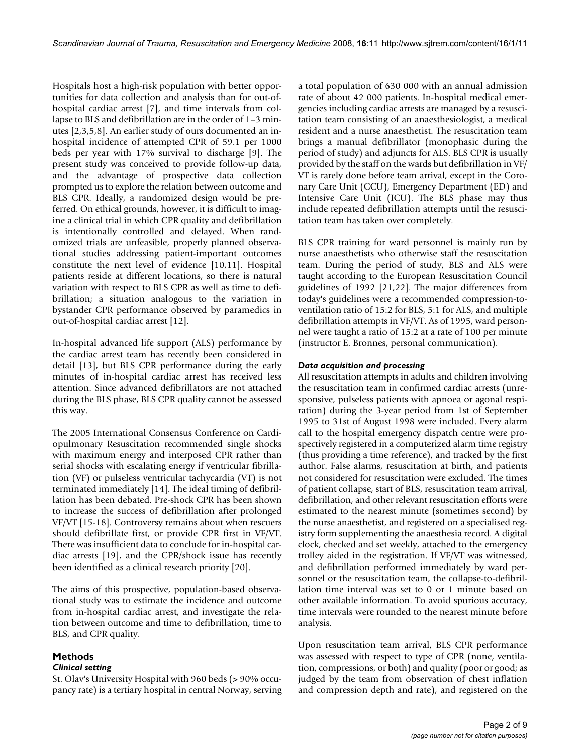Hospitals host a high-risk population with better opportunities for data collection and analysis than for out-ofhospital cardiac arrest [7], and time intervals from collapse to BLS and defibrillation are in the order of 1–3 minutes [2,3,5,8]. An earlier study of ours documented an inhospital incidence of attempted CPR of 59.1 per 1000 beds per year with 17% survival to discharge [9]. The present study was conceived to provide follow-up data, and the advantage of prospective data collection prompted us to explore the relation between outcome and BLS CPR. Ideally, a randomized design would be preferred. On ethical grounds, however, it is difficult to imagine a clinical trial in which CPR quality and defibrillation is intentionally controlled and delayed. When randomized trials are unfeasible, properly planned observational studies addressing patient-important outcomes constitute the next level of evidence [10,11]. Hospital patients reside at different locations, so there is natural variation with respect to BLS CPR as well as time to defibrillation; a situation analogous to the variation in bystander CPR performance observed by paramedics in out-of-hospital cardiac arrest [12].

In-hospital advanced life support (ALS) performance by the cardiac arrest team has recently been considered in detail [13], but BLS CPR performance during the early minutes of in-hospital cardiac arrest has received less attention. Since advanced defibrillators are not attached during the BLS phase, BLS CPR quality cannot be assessed this way.

The 2005 International Consensus Conference on Cardiopulmonary Resuscitation recommended single shocks with maximum energy and interposed CPR rather than serial shocks with escalating energy if ventricular fibrillation (VF) or pulseless ventricular tachycardia (VT) is not terminated immediately [14]. The ideal timing of defibrillation has been debated. Pre-shock CPR has been shown to increase the success of defibrillation after prolonged VF/VT [15-18]. Controversy remains about when rescuers should defibrillate first, or provide CPR first in VF/VT. There was insufficient data to conclude for in-hospital cardiac arrests [19], and the CPR/shock issue has recently been identified as a clinical research priority [20].

The aims of this prospective, population-based observational study was to estimate the incidence and outcome from in-hospital cardiac arrest, and investigate the relation between outcome and time to defibrillation, time to BLS, and CPR quality.

# **Methods**

#### *Clinical setting*

St. Olav's University Hospital with 960 beds (> 90% occupancy rate) is a tertiary hospital in central Norway, serving a total population of 630 000 with an annual admission rate of about 42 000 patients. In-hospital medical emergencies including cardiac arrests are managed by a resuscitation team consisting of an anaesthesiologist, a medical resident and a nurse anaesthetist. The resuscitation team brings a manual defibrillator (monophasic during the period of study) and adjuncts for ALS. BLS CPR is usually provided by the staff on the wards but defibrillation in VF/ VT is rarely done before team arrival, except in the Coronary Care Unit (CCU), Emergency Department (ED) and Intensive Care Unit (ICU). The BLS phase may thus include repeated defibrillation attempts until the resuscitation team has taken over completely.

BLS CPR training for ward personnel is mainly run by nurse anaesthetists who otherwise staff the resuscitation team. During the period of study, BLS and ALS were taught according to the European Resuscitation Council guidelines of 1992 [21,22]. The major differences from today's guidelines were a recommended compression-toventilation ratio of 15:2 for BLS, 5:1 for ALS, and multiple defibrillation attempts in VF/VT. As of 1995, ward personnel were taught a ratio of 15:2 at a rate of 100 per minute (instructor E. Bronnes, personal communication).

## *Data acquisition and processing*

All resuscitation attempts in adults and children involving the resuscitation team in confirmed cardiac arrests (unresponsive, pulseless patients with apnoea or agonal respiration) during the 3-year period from 1st of September 1995 to 31st of August 1998 were included. Every alarm call to the hospital emergency dispatch centre were prospectively registered in a computerized alarm time registry (thus providing a time reference), and tracked by the first author. False alarms, resuscitation at birth, and patients not considered for resuscitation were excluded. The times of patient collapse, start of BLS, resuscitation team arrival, defibrillation, and other relevant resuscitation efforts were estimated to the nearest minute (sometimes second) by the nurse anaesthetist, and registered on a specialised registry form supplementing the anaesthesia record. A digital clock, checked and set weekly, attached to the emergency trolley aided in the registration. If VF/VT was witnessed, and defibrillation performed immediately by ward personnel or the resuscitation team, the collapse-to-defibrillation time interval was set to 0 or 1 minute based on other available information. To avoid spurious accuracy, time intervals were rounded to the nearest minute before analysis.

Upon resuscitation team arrival, BLS CPR performance was assessed with respect to type of CPR (none, ventilation, compressions, or both) and quality (poor or good; as judged by the team from observation of chest inflation and compression depth and rate), and registered on the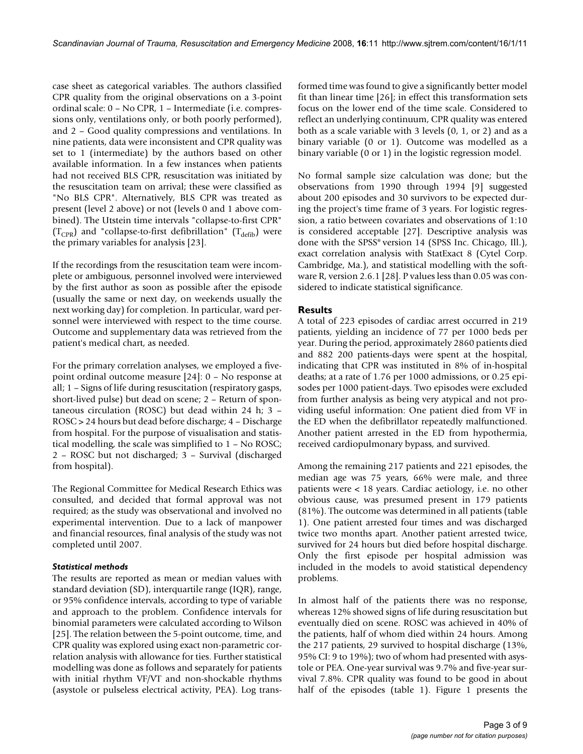case sheet as categorical variables. The authors classified CPR quality from the original observations on a 3-point ordinal scale: 0 – No CPR, 1 – Intermediate (i.e. compressions only, ventilations only, or both poorly performed), and 2 – Good quality compressions and ventilations. In nine patients, data were inconsistent and CPR quality was set to 1 (intermediate) by the authors based on other available information. In a few instances when patients had not received BLS CPR, resuscitation was initiated by the resuscitation team on arrival; these were classified as "No BLS CPR". Alternatively, BLS CPR was treated as present (level 2 above) or not (levels 0 and 1 above combined). The Utstein time intervals "collapse-to-first CPR"  $(T_{CPR})$  and "collapse-to-first defibrillation"  $(T_{defib})$  were the primary variables for analysis [23].

If the recordings from the resuscitation team were incomplete or ambiguous, personnel involved were interviewed by the first author as soon as possible after the episode (usually the same or next day, on weekends usually the next working day) for completion. In particular, ward personnel were interviewed with respect to the time course. Outcome and supplementary data was retrieved from the patient's medical chart, as needed.

For the primary correlation analyses, we employed a fivepoint ordinal outcome measure [24]: 0 – No response at all; 1 – Signs of life during resuscitation (respiratory gasps, short-lived pulse) but dead on scene; 2 – Return of spontaneous circulation (ROSC) but dead within 24 h; 3 – ROSC > 24 hours but dead before discharge; 4 – Discharge from hospital. For the purpose of visualisation and statistical modelling, the scale was simplified to 1 – No ROSC; 2 – ROSC but not discharged; 3 – Survival (discharged from hospital).

The Regional Committee for Medical Research Ethics was consulted, and decided that formal approval was not required; as the study was observational and involved no experimental intervention. Due to a lack of manpower and financial resources, final analysis of the study was not completed until 2007.

# *Statistical methods*

The results are reported as mean or median values with standard deviation (SD), interquartile range (IQR), range, or 95% confidence intervals, according to type of variable and approach to the problem. Confidence intervals for binomial parameters were calculated according to Wilson [25]. The relation between the 5-point outcome, time, and CPR quality was explored using exact non-parametric correlation analysis with allowance for ties. Further statistical modelling was done as follows and separately for patients with initial rhythm VF/VT and non-shockable rhythms (asystole or pulseless electrical activity, PEA). Log transformed time was found to give a significantly better model fit than linear time [26]; in effect this transformation sets focus on the lower end of the time scale. Considered to reflect an underlying continuum, CPR quality was entered both as a scale variable with 3 levels (0, 1, or 2) and as a binary variable (0 or 1). Outcome was modelled as a binary variable (0 or 1) in the logistic regression model.

No formal sample size calculation was done; but the observations from 1990 through 1994 [9] suggested about 200 episodes and 30 survivors to be expected during the project's time frame of 3 years. For logistic regression, a ratio between covariates and observations of 1:10 is considered acceptable [27]. Descriptive analysis was done with the SPSS® version 14 (SPSS Inc. Chicago, Ill.), exact correlation analysis with StatExact 8 (Cytel Corp. Cambridge, Ma.), and statistical modelling with the software R, version 2.6.1 [28]. P values less than 0.05 was considered to indicate statistical significance.

# **Results**

A total of 223 episodes of cardiac arrest occurred in 219 patients, yielding an incidence of 77 per 1000 beds per year. During the period, approximately 2860 patients died and 882 200 patients-days were spent at the hospital, indicating that CPR was instituted in 8% of in-hospital deaths; at a rate of 1.76 per 1000 admissions, or 0.25 episodes per 1000 patient-days. Two episodes were excluded from further analysis as being very atypical and not providing useful information: One patient died from VF in the ED when the defibrillator repeatedly malfunctioned. Another patient arrested in the ED from hypothermia, received cardiopulmonary bypass, and survived.

Among the remaining 217 patients and 221 episodes, the median age was 75 years, 66% were male, and three patients were < 18 years. Cardiac aetiology, i.e. no other obvious cause, was presumed present in 179 patients (81%). The outcome was determined in all patients (table 1). One patient arrested four times and was discharged twice two months apart. Another patient arrested twice, survived for 24 hours but died before hospital discharge. Only the first episode per hospital admission was included in the models to avoid statistical dependency problems.

In almost half of the patients there was no response, whereas 12% showed signs of life during resuscitation but eventually died on scene. ROSC was achieved in 40% of the patients, half of whom died within 24 hours. Among the 217 patients, 29 survived to hospital discharge (13%, 95% CI: 9 to 19%); two of whom had presented with asystole or PEA. One-year survival was 9.7% and five-year survival 7.8%. CPR quality was found to be good in about half of the episodes (table 1). Figure 1 presents the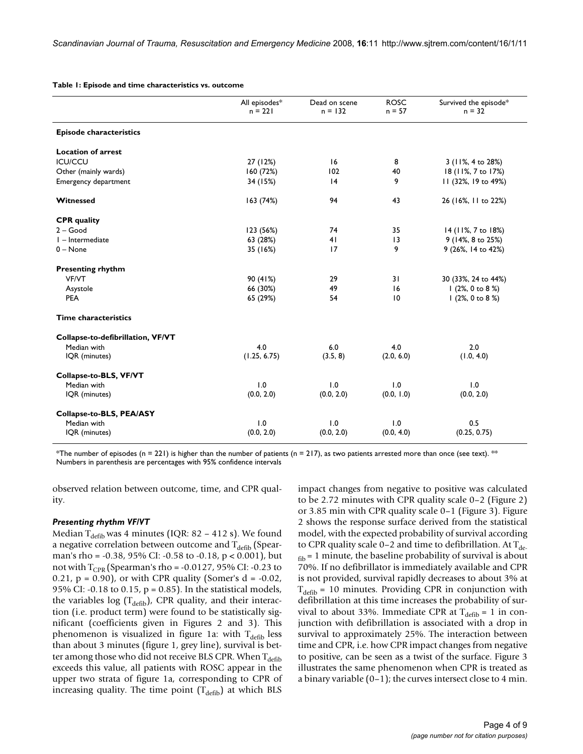**Table 1: Episode and time characteristics vs. outcome**

|                                   | All episodes*<br>$n = 221$ | Dead on scene<br>$n = 132$ | <b>ROSC</b><br>$n = 57$ | Survived the episode*<br>$n = 32$ |
|-----------------------------------|----------------------------|----------------------------|-------------------------|-----------------------------------|
| <b>Episode characteristics</b>    |                            |                            |                         |                                   |
| <b>Location of arrest</b>         |                            |                            |                         |                                   |
| <b>ICU/CCU</b>                    | 27 (12%)                   | 16                         | 8                       | 3 (11%, 4 to 28%)                 |
| Other (mainly wards)              | 160 (72%)                  | 102                        | 40                      | 18 (11%, 7 to 17%)                |
| Emergency department              | 34 (15%)                   | 4                          | 9                       | II (32%, 19 to 49%)               |
| Witnessed                         | 163 (74%)                  | 94                         | 43                      | 26 (16%, 11 to 22%)               |
| <b>CPR</b> quality                |                            |                            |                         |                                   |
| $2 - Good$                        | 123 (56%)                  | 74                         | 35                      | 14 (11%, 7 to 18%)                |
| $I$ – Intermediate                | 63 (28%)                   | 41                         | 3                       | 9 (14%, 8 to 25%)                 |
| $0 - None$                        | 35 (16%)                   | 17                         | 9                       | 9 (26%, 14 to 42%)                |
| <b>Presenting rhythm</b>          |                            |                            |                         |                                   |
| <b>VF/VT</b>                      | 90 (41%)                   | 29                         | 31                      | 30 (33%, 24 to 44%)               |
| Asystole                          | 66 (30%)                   | 49                         | 16                      | $(2\%, 0 \text{ to } 8 \%)$       |
| <b>PEA</b>                        | 65 (29%)                   | 54                         | 10                      | I (2%, 0 to 8 %)                  |
| <b>Time characteristics</b>       |                            |                            |                         |                                   |
| Collapse-to-defibrillation, VF/VT |                            |                            |                         |                                   |
| Median with                       | 4.0                        | 6.0                        | 4.0                     | 2.0                               |
| IQR (minutes)                     | (1.25, 6.75)               | (3.5, 8)                   | (2.0, 6.0)              | (1.0, 4.0)                        |
| Collapse-to-BLS, VF/VT            |                            |                            |                         |                                   |
| Median with                       | 1.0                        | 1.0                        | 1.0                     | 1.0                               |
| IQR (minutes)                     | (0.0, 2.0)                 | (0.0, 2.0)                 | (0.0, 1.0)              | (0.0, 2.0)                        |
| Collapse-to-BLS, PEA/ASY          |                            |                            |                         |                                   |
| Median with                       | 1.0                        | 1.0                        | 1.0                     | 0.5                               |
| IQR (minutes)                     | (0.0, 2.0)                 | (0.0, 2.0)                 | (0.0, 4.0)              | (0.25, 0.75)                      |
|                                   |                            |                            |                         |                                   |

\*The number of episodes (n = 221) is higher than the number of patients (n = 217), as two patients arrested more than once (see text). \*\* Numbers in parenthesis are percentages with 95% confidence intervals

observed relation between outcome, time, and CPR quality.

#### *Presenting rhythm VF/VT*

Median  $T_{\text{defib}}$  was 4 minutes (IQR: 82 – 412 s). We found a negative correlation between outcome and  $T_{\text{defib}}$  (Spearman's rho = -0.38, 95% CI: -0.58 to -0.18, p < 0.001), but not with  $T_{CPR}$  (Spearman's rho = -0.0127, 95% CI: -0.23 to 0.21,  $p = 0.90$ ), or with CPR quality (Somer's  $d = -0.02$ , 95% CI: -0.18 to 0.15,  $p = 0.85$ ). In the statistical models, the variables log  $(T_{\text{defib}})$ , CPR quality, and their interaction (i.e. product term) were found to be statistically significant (coefficients given in Figures 2 and 3). This phenomenon is visualized in figure 1a: with  $T_{\text{defib}}$  less than about 3 minutes (figure 1, grey line), survival is better among those who did not receive BLS CPR. When  $T_{\text{defib}}$ exceeds this value, all patients with ROSC appear in the upper two strata of figure 1a, corresponding to CPR of increasing quality. The time point  $(T_{\text{defib}})$  at which BLS

impact changes from negative to positive was calculated to be 2.72 minutes with CPR quality scale 0–2 (Figure 2) or 3.85 min with CPR quality scale 0–1 (Figure 3). Figure 2 shows the response surface derived from the statistical model, with the expected probability of survival according to CPR quality scale 0–2 and time to defibrillation. At  $T_{de}$  $f_{\text{fib}} = 1$  minute, the baseline probability of survival is about 70%. If no defibrillator is immediately available and CPR is not provided, survival rapidly decreases to about 3% at  $T_{\text{defib}} = 10$  minutes. Providing CPR in conjunction with defibrillation at this time increases the probability of survival to about 33%. Immediate CPR at  $T_{\text{defib}} = 1$  in conjunction with defibrillation is associated with a drop in survival to approximately 25%. The interaction between time and CPR, i.e. how CPR impact changes from negative to positive, can be seen as a twist of the surface. Figure 3 illustrates the same phenomenon when CPR is treated as a binary variable (0–1); the curves intersect close to 4 min.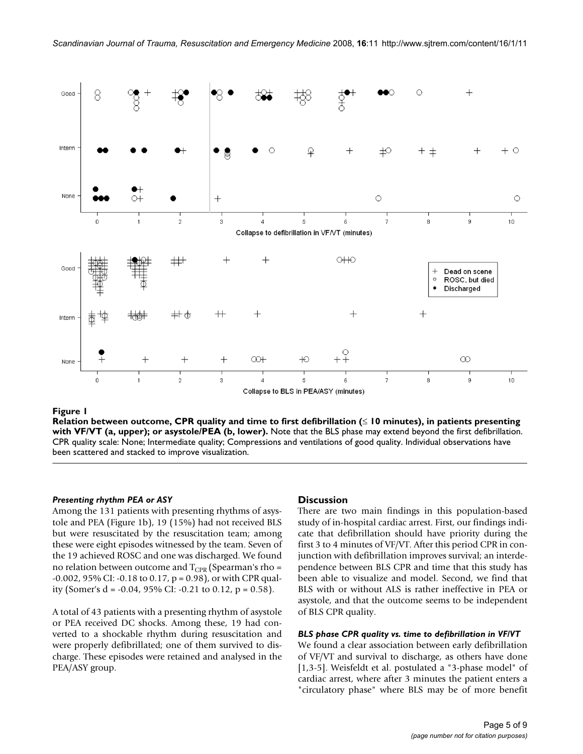

**Relation between outcome, CPR quality and time to first defibrillation (**≤ **10 minutes), in patients presenting with VF/VT (a, upper); or asystole/PEA (b, lower).** Note that the BLS phase may extend beyond the first defibrillation. CPR quality scale: None; Intermediate quality; Compressions and ventilations of good quality. Individual observations have been scattered and stacked to improve visualization.

#### *Presenting rhythm PEA or ASY*

Among the 131 patients with presenting rhythms of asystole and PEA (Figure 1b), 19 (15%) had not received BLS but were resuscitated by the resuscitation team; among these were eight episodes witnessed by the team. Seven of the 19 achieved ROSC and one was discharged. We found no relation between outcome and  $T_{CPR}$  (Spearman's rho = -0.002, 95% CI: -0.18 to 0.17, p = 0.98), or with CPR quality (Somer's d = -0.04, 95% CI: -0.21 to 0.12, p = 0.58).

A total of 43 patients with a presenting rhythm of asystole or PEA received DC shocks. Among these, 19 had converted to a shockable rhythm during resuscitation and were properly defibrillated; one of them survived to discharge. These episodes were retained and analysed in the PEA/ASY group.

#### **Discussion**

There are two main findings in this population-based study of in-hospital cardiac arrest. First, our findings indicate that defibrillation should have priority during the first 3 to 4 minutes of VF/VT. After this period CPR in conjunction with defibrillation improves survival; an interdependence between BLS CPR and time that this study has been able to visualize and model. Second, we find that BLS with or without ALS is rather ineffective in PEA or asystole, and that the outcome seems to be independent of BLS CPR quality.

#### *BLS phase CPR quality vs. time to defibrillation in VF/VT*

We found a clear association between early defibrillation of VF/VT and survival to discharge, as others have done [1,3-5]. Weisfeldt et al. postulated a "3-phase model" of cardiac arrest, where after 3 minutes the patient enters a "circulatory phase" where BLS may be of more benefit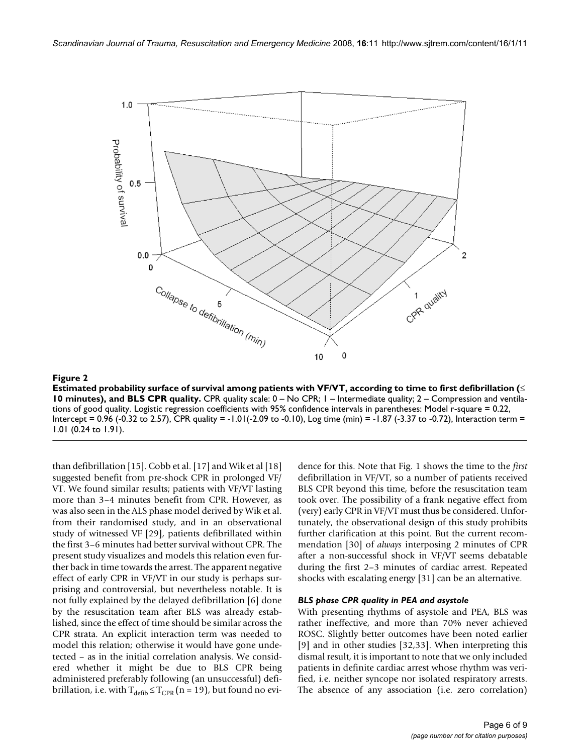

Estimated probability surface of survival among patients wi BLS CPR quality **Figure 2** th VF/VT, according to time to first defibrillation (≤ 10 minutes), and **Estimated probability surface of survival among patients with VF/VT, according to time to first defibrillation (**≤ **10 minutes), and BLS CPR quality.** CPR quality scale: 0 – No CPR; 1 – Intermediate quality; 2 – Compression and ventilations of good quality. Logistic regression coefficients with 95% confidence intervals in parentheses: Model r-square = 0.22, Intercept = 0.96 (-0.32 to 2.57), CPR quality = -1.01(-2.09 to -0.10), Log time (min) = -1.87 (-3.37 to -0.72), Interaction term = 1.01 (0.24 to 1.91).

than defibrillation [15]. Cobb et al. [17] and Wik et al [18] suggested benefit from pre-shock CPR in prolonged VF/ VT. We found similar results; patients with VF/VT lasting more than 3–4 minutes benefit from CPR. However, as was also seen in the ALS phase model derived by Wik et al. from their randomised study, and in an observational study of witnessed VF [29], patients defibrillated within the first 3–6 minutes had better survival without CPR. The present study visualizes and models this relation even further back in time towards the arrest. The apparent negative effect of early CPR in VF/VT in our study is perhaps surprising and controversial, but nevertheless notable. It is not fully explained by the delayed defibrillation [6] done by the resuscitation team after BLS was already established, since the effect of time should be similar across the CPR strata. An explicit interaction term was needed to model this relation; otherwise it would have gone undetected – as in the initial correlation analysis. We considered whether it might be due to BLS CPR being administered preferably following (an unsuccessful) defibrillation, i.e. with  $T_{\text{defib}} \leq T_{\text{CPR}}$  (n = 19), but found no evidence for this. Note that Fig. 1 shows the time to the *first* defibrillation in VF/VT, so a number of patients received BLS CPR beyond this time, before the resuscitation team took over. The possibility of a frank negative effect from (very) early CPR in VF/VT must thus be considered. Unfortunately, the observational design of this study prohibits further clarification at this point. But the current recommendation [30] of *always* interposing 2 minutes of CPR after a non-successful shock in VF/VT seems debatable during the first 2–3 minutes of cardiac arrest. Repeated shocks with escalating energy [31] can be an alternative.

#### *BLS phase CPR quality in PEA and asystole*

With presenting rhythms of asystole and PEA, BLS was rather ineffective, and more than 70% never achieved ROSC. Slightly better outcomes have been noted earlier [9] and in other studies [32,33]. When interpreting this dismal result, it is important to note that we only included patients in definite cardiac arrest whose rhythm was verified, i.e. neither syncope nor isolated respiratory arrests. The absence of any association (i.e. zero correlation)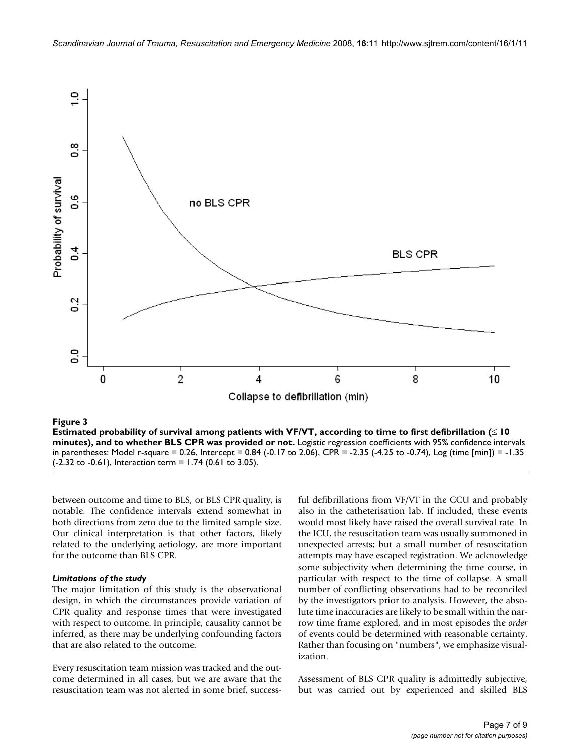

**Estimated probability of survival among patients with VF/VT, according to time to first defibrillation (**≤ **10 minutes), and to whether BLS CPR was provided or not.** Logistic regression coefficients with 95% confidence intervals in parentheses: Model r-square = 0.26, Intercept = 0.84 (-0.17 to 2.06), CPR = -2.35 (-4.25 to -0.74), Log (time [min]) = -1.35 (-2.32 to -0.61), Interaction term = 1.74 (0.61 to 3.05).

between outcome and time to BLS, or BLS CPR quality, is notable. The confidence intervals extend somewhat in both directions from zero due to the limited sample size. Our clinical interpretation is that other factors, likely related to the underlying aetiology, are more important for the outcome than BLS CPR.

#### *Limitations of the study*

The major limitation of this study is the observational design, in which the circumstances provide variation of CPR quality and response times that were investigated with respect to outcome. In principle, causality cannot be inferred, as there may be underlying confounding factors that are also related to the outcome.

Every resuscitation team mission was tracked and the outcome determined in all cases, but we are aware that the resuscitation team was not alerted in some brief, successful defibrillations from VF/VT in the CCU and probably also in the catheterisation lab. If included, these events would most likely have raised the overall survival rate. In the ICU, the resuscitation team was usually summoned in unexpected arrests; but a small number of resuscitation attempts may have escaped registration. We acknowledge some subjectivity when determining the time course, in particular with respect to the time of collapse. A small number of conflicting observations had to be reconciled by the investigators prior to analysis. However, the absolute time inaccuracies are likely to be small within the narrow time frame explored, and in most episodes the *order* of events could be determined with reasonable certainty. Rather than focusing on "numbers", we emphasize visualization.

Assessment of BLS CPR quality is admittedly subjective, but was carried out by experienced and skilled BLS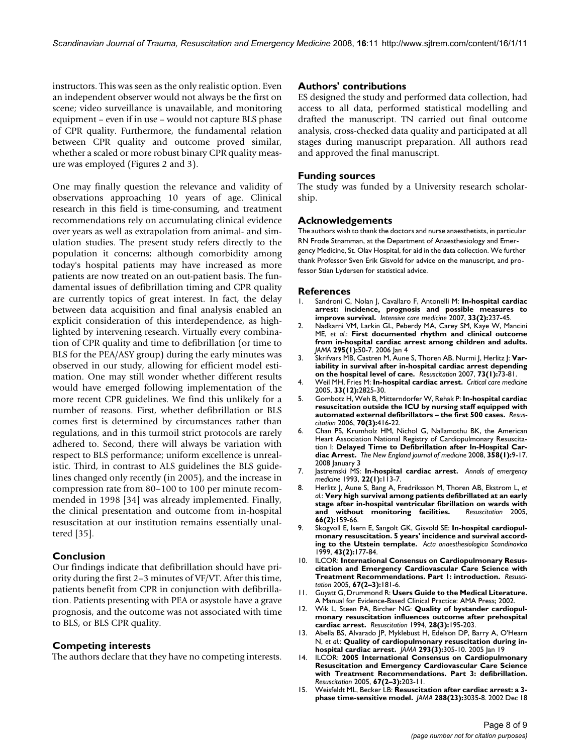instructors. This was seen as the only realistic option. Even an independent observer would not always be the first on scene; video surveillance is unavailable, and monitoring equipment – even if in use – would not capture BLS phase of CPR quality. Furthermore, the fundamental relation between CPR quality and outcome proved similar, whether a scaled or more robust binary CPR quality measure was employed (Figures 2 and 3).

One may finally question the relevance and validity of observations approaching 10 years of age. Clinical research in this field is time-consuming, and treatment recommendations rely on accumulating clinical evidence over years as well as extrapolation from animal- and simulation studies. The present study refers directly to the population it concerns; although comorbidity among today's hospital patients may have increased as more patients are now treated on an out-patient basis. The fundamental issues of defibrillation timing and CPR quality are currently topics of great interest. In fact, the delay between data acquisition and final analysis enabled an explicit consideration of this interdependence, as highlighted by intervening research. Virtually every combination of CPR quality and time to defibrillation (or time to BLS for the PEA/ASY group) during the early minutes was observed in our study, allowing for efficient model estimation. One may still wonder whether different results would have emerged following implementation of the more recent CPR guidelines. We find this unlikely for a number of reasons. First, whether defibrillation or BLS comes first is determined by circumstances rather than regulations, and in this turmoil strict protocols are rarely adhered to. Second, there will always be variation with respect to BLS performance; uniform excellence is unrealistic. Third, in contrast to ALS guidelines the BLS guidelines changed only recently (in 2005), and the increase in compression rate from 80–100 to 100 per minute recommended in 1998 [34] was already implemented. Finally, the clinical presentation and outcome from in-hospital resuscitation at our institution remains essentially unaltered [35].

### **Conclusion**

Our findings indicate that defibrillation should have priority during the first 2–3 minutes of VF/VT. After this time, patients benefit from CPR in conjunction with defibrillation. Patients presenting with PEA or asystole have a grave prognosis, and the outcome was not associated with time to BLS, or BLS CPR quality.

#### **Competing interests**

The authors declare that they have no competing interests.

#### **Authors' contributions**

ES designed the study and performed data collection, had access to all data, performed statistical modelling and drafted the manuscript. TN carried out final outcome analysis, cross-checked data quality and participated at all stages during manuscript preparation. All authors read and approved the final manuscript.

### **Funding sources**

The study was funded by a University research scholarship.

#### **Acknowledgements**

The authors wish to thank the doctors and nurse anaesthetists, in particular RN Frode Strømman, at the Department of Anaesthesiology and Emergency Medicine, St. Olav Hospital, for aid in the data collection. We further thank Professor Sven Erik Gisvold for advice on the manuscript, and professor Stian Lydersen for statistical advice.

#### **References**

- 1. Sandroni C, Nolan J, Cavallaro F, Antonelli M: **[In-hospital cardiac](http://www.ncbi.nlm.nih.gov/entrez/query.fcgi?cmd=Retrieve&db=PubMed&dopt=Abstract&list_uids=17019558) [arrest: incidence, prognosis and possible measures to](http://www.ncbi.nlm.nih.gov/entrez/query.fcgi?cmd=Retrieve&db=PubMed&dopt=Abstract&list_uids=17019558) [improve survival.](http://www.ncbi.nlm.nih.gov/entrez/query.fcgi?cmd=Retrieve&db=PubMed&dopt=Abstract&list_uids=17019558)** *Intensive care medicine* 2007, **33(2):**237-45.
- 2. Nadkarni VM, Larkin GL, Peberdy MA, Carey SM, Kaye W, Mancini ME, *et al.*: **[First documented rhythm and clinical outcome](http://www.ncbi.nlm.nih.gov/entrez/query.fcgi?cmd=Retrieve&db=PubMed&dopt=Abstract&list_uids=16391216) [from in-hospital cardiac arrest among children and adults.](http://www.ncbi.nlm.nih.gov/entrez/query.fcgi?cmd=Retrieve&db=PubMed&dopt=Abstract&list_uids=16391216)** *JAMA* **295(1):**50-7. 2006 Jan 4
- 3. Skrifvars MB, Castren M, Aune S, Thoren AB, Nurmi J, Herlitz J: **[Var](http://www.ncbi.nlm.nih.gov/entrez/query.fcgi?cmd=Retrieve&db=PubMed&dopt=Abstract&list_uids=17250948)[iability in survival after in-hospital cardiac arrest depending](http://www.ncbi.nlm.nih.gov/entrez/query.fcgi?cmd=Retrieve&db=PubMed&dopt=Abstract&list_uids=17250948) [on the hospital level of care.](http://www.ncbi.nlm.nih.gov/entrez/query.fcgi?cmd=Retrieve&db=PubMed&dopt=Abstract&list_uids=17250948)** *Resuscitation* 2007, **73(1):**73-81.
- 4. Weil MH, Fries M: **[In-hospital cardiac arrest.](http://www.ncbi.nlm.nih.gov/entrez/query.fcgi?cmd=Retrieve&db=PubMed&dopt=Abstract&list_uids=16352966)** *Critical care medicine* 2005, **33(12):**2825-30.
- 5. Gombotz H, Weh B, Mitterndorfer W, Rehak P: **[In-hospital cardiac](http://www.ncbi.nlm.nih.gov/entrez/query.fcgi?cmd=Retrieve&db=PubMed&dopt=Abstract&list_uids=16908093) [resuscitation outside the ICU by nursing staff equipped with](http://www.ncbi.nlm.nih.gov/entrez/query.fcgi?cmd=Retrieve&db=PubMed&dopt=Abstract&list_uids=16908093) [automated external defibrillators – the first 500 cases.](http://www.ncbi.nlm.nih.gov/entrez/query.fcgi?cmd=Retrieve&db=PubMed&dopt=Abstract&list_uids=16908093)** *Resuscitation* 2006, **70(3):**416-22.
- 6. Chan PS, Krumholz HM, Nichol G, Nallamothu BK, the American Heart Association National Registry of Cardiopulmonary Resuscitation I: **[Delayed Time to Defibrillation after In-Hospital Car](http://www.ncbi.nlm.nih.gov/entrez/query.fcgi?cmd=Retrieve&db=PubMed&dopt=Abstract&list_uids=18172170)[diac Arrest.](http://www.ncbi.nlm.nih.gov/entrez/query.fcgi?cmd=Retrieve&db=PubMed&dopt=Abstract&list_uids=18172170)** *The New England journal of medicine* 2008, **358(1):**9-17. 2008 January 3
- 7. Jastremski MS: **[In-hospital cardiac arrest.](http://www.ncbi.nlm.nih.gov/entrez/query.fcgi?cmd=Retrieve&db=PubMed&dopt=Abstract&list_uids=8424600)** *Annals of emergency medicine* 1993, **22(1):**113-7.
- 8. Herlitz J, Aune S, Bang A, Fredriksson M, Thoren AB, Ekstrom L, *et al.*: **[Very high survival among patients defibrillated at an early](http://www.ncbi.nlm.nih.gov/entrez/query.fcgi?cmd=Retrieve&db=PubMed&dopt=Abstract&list_uids=15955610) [stage after in-hospital ventricular fibrillation on wards with](http://www.ncbi.nlm.nih.gov/entrez/query.fcgi?cmd=Retrieve&db=PubMed&dopt=Abstract&list_uids=15955610) [and without monitoring facilities.](http://www.ncbi.nlm.nih.gov/entrez/query.fcgi?cmd=Retrieve&db=PubMed&dopt=Abstract&list_uids=15955610)** *Resuscitation* 2005, **66(2):**159-66.
- 9. Skogvoll E, Isern E, Sangolt GK, Gisvold SE: **[In-hospital cardiopul](http://www.ncbi.nlm.nih.gov/entrez/query.fcgi?cmd=Retrieve&db=PubMed&dopt=Abstract&list_uids=10027025)[monary resuscitation. 5 years' incidence and survival accord](http://www.ncbi.nlm.nih.gov/entrez/query.fcgi?cmd=Retrieve&db=PubMed&dopt=Abstract&list_uids=10027025)[ing to the Utstein template.](http://www.ncbi.nlm.nih.gov/entrez/query.fcgi?cmd=Retrieve&db=PubMed&dopt=Abstract&list_uids=10027025)** *Acta anaesthesiologica Scandinavica* 1999, **43(2):**177-84.
- 10. ILCOR: **[International Consensus on Cardiopulmonary Resus](http://www.ncbi.nlm.nih.gov/entrez/query.fcgi?cmd=Retrieve&db=PubMed&dopt=Abstract&list_uids=16324987)[citation and Emergency Cardiovascular Care Science with](http://www.ncbi.nlm.nih.gov/entrez/query.fcgi?cmd=Retrieve&db=PubMed&dopt=Abstract&list_uids=16324987) [Treatment Recommendations. Part 1: introduction.](http://www.ncbi.nlm.nih.gov/entrez/query.fcgi?cmd=Retrieve&db=PubMed&dopt=Abstract&list_uids=16324987)** *Resuscitation* 2005, **67(2–3):**181-6.
- 11. Guyatt G, Drummond R: **Users Guide to the Medical Literature.** A Manual for Evidence-Based Clinical Practice: AMA Press; 2002.
- 12. Wik L, Steen PA, Bircher NG: **[Quality of bystander cardiopul](http://www.ncbi.nlm.nih.gov/entrez/query.fcgi?cmd=Retrieve&db=PubMed&dopt=Abstract&list_uids=7740189)[monary resuscitation influences outcome after prehospital](http://www.ncbi.nlm.nih.gov/entrez/query.fcgi?cmd=Retrieve&db=PubMed&dopt=Abstract&list_uids=7740189) [cardiac arrest.](http://www.ncbi.nlm.nih.gov/entrez/query.fcgi?cmd=Retrieve&db=PubMed&dopt=Abstract&list_uids=7740189)** *Resuscitation* 1994, **28(3):**195-203.
- 13. Abella BS, Alvarado JP, Myklebust H, Edelson DP, Barry A, O'Hearn N, *et al.*: **[Quality of cardiopulmonary resuscitation during in](http://www.ncbi.nlm.nih.gov/entrez/query.fcgi?cmd=Retrieve&db=PubMed&dopt=Abstract&list_uids=15657323)[hospital cardiac arrest.](http://www.ncbi.nlm.nih.gov/entrez/query.fcgi?cmd=Retrieve&db=PubMed&dopt=Abstract&list_uids=15657323)** *JAMA* **293(3):**305-10. 2005 Jan 19
- 14. ILCOR: **[2005 International Consensus on Cardiopulmonary](http://www.ncbi.nlm.nih.gov/entrez/query.fcgi?cmd=Retrieve&db=PubMed&dopt=Abstract&list_uids=16324989) Resuscitation and Emergency Cardiovascular Care Science [with Treatment Recommendations. Part 3: defibrillation.](http://www.ncbi.nlm.nih.gov/entrez/query.fcgi?cmd=Retrieve&db=PubMed&dopt=Abstract&list_uids=16324989)** *Resuscitation* 2005, **67(2–3):**203-11.
- 15. Weisfeldt ML, Becker LB: **[Resuscitation after cardiac arrest: a 3](http://www.ncbi.nlm.nih.gov/entrez/query.fcgi?cmd=Retrieve&db=PubMed&dopt=Abstract&list_uids=12479769) [phase time-sensitive model.](http://www.ncbi.nlm.nih.gov/entrez/query.fcgi?cmd=Retrieve&db=PubMed&dopt=Abstract&list_uids=12479769)** *JAMA* **288(23):**3035-8. 2002 Dec 18